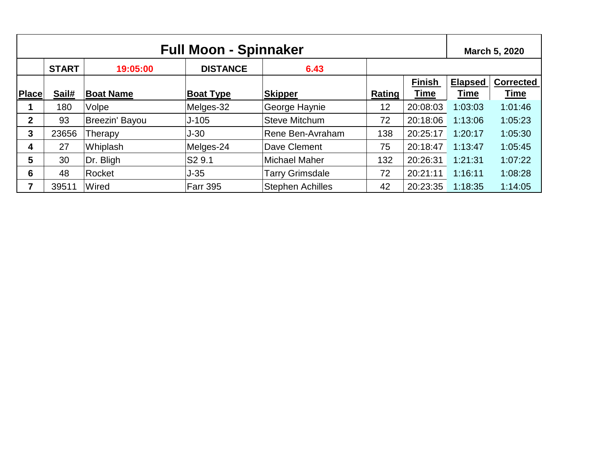| <b>Full Moon - Spinnaker</b> |              |                  |                    |                         |        | March 5, 2020 |                |                  |
|------------------------------|--------------|------------------|--------------------|-------------------------|--------|---------------|----------------|------------------|
|                              | <b>START</b> | 19:05:00         | <b>DISTANCE</b>    | 6.43                    |        |               |                |                  |
|                              |              |                  |                    |                         |        | <b>Finish</b> | <b>Elapsed</b> | <b>Corrected</b> |
| <b>Place</b>                 | Sail#        | <b>Boat Name</b> | <b>Boat Type</b>   | <b>Skipper</b>          | Rating | <b>Time</b>   | Time           | Time             |
|                              | 180          | Volpe            | Melges-32          | George Haynie           | 12     | 20:08:03      | 1:03:03        | 1:01:46          |
| $\mathbf 2$                  | 93           | Breezin' Bayou   | $J-105$            | Steve Mitchum           | 72     | 20:18:06      | 1:13:06        | 1:05:23          |
| 3                            | 23656        | Therapy          | $J-30$             | Rene Ben-Avraham        | 138    | 20:25:17      | 1:20:17        | 1:05:30          |
| 4                            | 27           | Whiplash         | Melges-24          | Dave Clement            | 75     | 20:18:47      | 1:13:47        | 1:05:45          |
| 5                            | 30           | Dr. Bligh        | S <sub>2</sub> 9.1 | <b>Michael Maher</b>    | 132    | 20:26:31      | 1:21:31        | 1:07:22          |
| 6                            | 48           | Rocket           | $J-35$             | <b>Tarry Grimsdale</b>  | 72     | 20:21:11      | 1:16:11        | 1:08:28          |
| 7                            | 39511        | Wired            | <b>Farr 395</b>    | <b>Stephen Achilles</b> | 42     | 20:23:35      | 1:18:35        | 1:14:05          |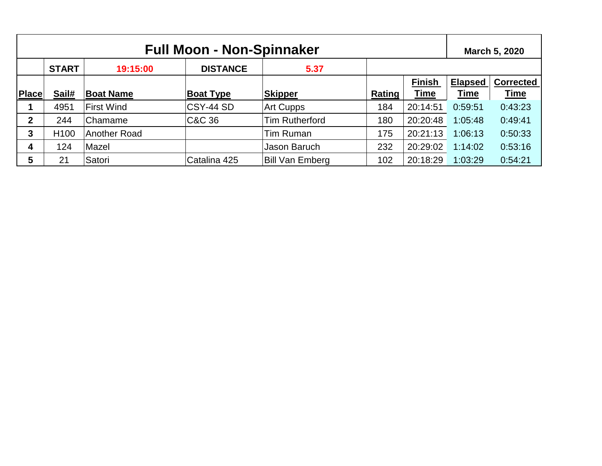| <b>Full Moon - Non-Spinnaker</b> |                  |                   |                  |                        |        | March 5, 2020 |                |                  |
|----------------------------------|------------------|-------------------|------------------|------------------------|--------|---------------|----------------|------------------|
|                                  | <b>START</b>     | 19:15:00          | <b>DISTANCE</b>  | 5.37                   |        |               |                |                  |
|                                  |                  |                   |                  |                        |        | <b>Finish</b> | <b>Elapsed</b> | <b>Corrected</b> |
| <b>Place</b>                     | Sail#            | <b>Boat Name</b>  | <b>Boat Type</b> | <b>Skipper</b>         | Rating | <b>Time</b>   | <b>Time</b>    | <u>Time</u>      |
|                                  | 4951             | <b>First Wind</b> | CSY-44 SD        | <b>Art Cupps</b>       | 184    | 20:14:51      | 0:59:51        | 0:43:23          |
| $\mathbf 2$                      | 244              | Chamame           | C&C 36           | <b>Tim Rutherford</b>  | 180    | 20:20:48      | 1:05:48        | 0:49:41          |
| 3                                | H <sub>100</sub> | Another Road      |                  | Tim Ruman              | 175    | 20:21:13      | 1:06:13        | 0:50:33          |
| 4                                | 124              | Mazel             |                  | Jason Baruch           | 232    | 20:29:02      | 1:14:02        | 0:53:16          |
| 5                                | 21               | Satori            | Catalina 425     | <b>Bill Van Emberg</b> | 102    | 20:18:29      | 1:03:29        | 0:54:21          |